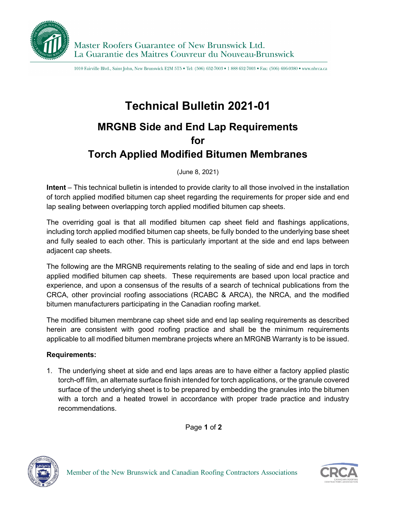

1010 Fairville Blvd., Saint John, New Brunswick E2M 5T5 . Tel: (506) 652-7003 . 1888 652-7003 . Fax: (506) 696-0380 . www.nbrca.ca

## **Technical Bulletin 2021-01**

## **MRGNB Side and End Lap Requirements for Torch Applied Modified Bitumen Membranes**

(June 8, 2021)

**Intent** – This technical bulletin is intended to provide clarity to all those involved in the installation of torch applied modified bitumen cap sheet regarding the requirements for proper side and end lap sealing between overlapping torch applied modified bitumen cap sheets.

The overriding goal is that all modified bitumen cap sheet field and flashings applications, including torch applied modified bitumen cap sheets, be fully bonded to the underlying base sheet and fully sealed to each other. This is particularly important at the side and end laps between adjacent cap sheets.

The following are the MRGNB requirements relating to the sealing of side and end laps in torch applied modified bitumen cap sheets. These requirements are based upon local practice and experience, and upon a consensus of the results of a search of technical publications from the CRCA, other provincial roofing associations (RCABC & ARCA), the NRCA, and the modified bitumen manufacturers participating in the Canadian roofing market.

The modified bitumen membrane cap sheet side and end lap sealing requirements as described herein are consistent with good roofing practice and shall be the minimum requirements applicable to all modified bitumen membrane projects where an MRGNB Warranty is to be issued.

## **Requirements:**

1. The underlying sheet at side and end laps areas are to have either a factory applied plastic torch-off film, an alternate surface finish intended for torch applications, or the granule covered surface of the underlying sheet is to be prepared by embedding the granules into the bitumen with a torch and a heated trowel in accordance with proper trade practice and industry recommendations.

Page **1** of **2**